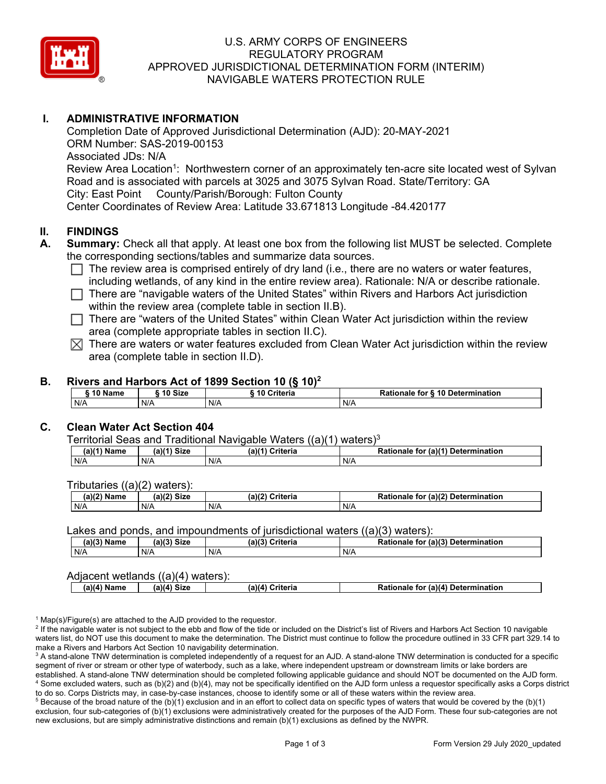

# U.S. ARMY CORPS OF ENGINEERS REGULATORY PROGRAM APPROVED JURISDICTIONAL DETERMINATION FORM (INTERIM) NAVIGABLE WATERS PROTECTION RULE

# **I. ADMINISTRATIVE INFORMATION**

Road and is associated with parcels at 3025 and 3075 Sylvan Road. State/Territory: GA<br>City: East Point County/Parish/Borough: Fulton County City: East Point Completion Date of Approved Jurisdictional Determination (AJD): 20-MAY-2021 ORM Number: SAS-2019-00153 Associated JDs: N/A Review Area Location<sup>1</sup>: Northwestern corner of an approximately ten-acre site located west of Sylvan Center Coordinates of Review Area: Latitude 33.671813 Longitude -84.420177

## **II. FINDINGS**

- **A. Summary:** Check all that apply. At least one box from the following list MUST be selected. Complete the corresponding sections/tables and summarize data sources.
	- □ The review area is comprised entirely of dry land (i.e., there are no waters or water features,  $\Box$  and  $\Box$  is the original provisive resolution in the original provisive resolutionals  $\Box$  is describe rationals including wetlands, of any kind in the entire review area). Rationale: N/A or describe rationale.
	- □ There are "navigable waters of the United States" within Rivers and Harbors Act jurisdiction within the review area (complete table in section II.B).
	- □ There are "waters of the United States" within Clean Water Act jurisdiction within the review area (complete appropriate tables in section II.C).
	- $\boxtimes$  There are waters or water features excluded from Clean Water Act jurisdiction within the review area (complete table in section II.D).

## **B. Rivers and Harbors Act of 1899 Section 10 (§ 10)<sup>2</sup>**

| __      | __<br>__<br>___   | .<br>. .    |                                    |
|---------|-------------------|-------------|------------------------------------|
| 10 Name | $\degree$ 10 Size | 10 Criteria | or § 10 Determination<br>Rationale |
| N/A     | N/A               | N/A         | N/A                                |

### **C. Clean Water Act Section 404**

Territorial Seas and Traditional Navigable Waters  $((a)(1)$  waters)<sup>3</sup>

| (a)(1) Name | $(a)$ $(1)$<br><b>Size</b> | $(a)$ $(4)$<br>Criteria<br>- | (a)(1)<br><b>Determination</b><br><b>Rationale</b><br>tor |
|-------------|----------------------------|------------------------------|-----------------------------------------------------------|
| N/A         | N/A                        | N/F                          | N/A                                                       |

Tributaries ((a)(2) waters):

| (a)(2)<br>. .<br>Name | (a)(2)<br><b>Size</b> | (a)(2)<br>Critoria<br>uriteria | (a)(2) Determ<br><b>Rationale</b><br>mination<br>for |
|-----------------------|-----------------------|--------------------------------|------------------------------------------------------|
| N/A                   | N/A                   | N/A                            | N/A                                                  |

#### Lakes and ponds, and impoundments of jurisdictional waters  $((a)(3)$  waters):

| (a)(3) Name | Siz⊾<br>(a)(3) | $(a)$ $(2)$<br>Criteria | Rationale<br>(a)(3)<br><b>Determination</b><br>tor |
|-------------|----------------|-------------------------|----------------------------------------------------|
| N/A         | N/A            | N/A                     | N/A                                                |

#### Adjacent wetlands ((a)(4) waters):

| Sizo<br>⊦ Determination<br>(a)(4<br>Name<br>(a)(4)<br>`ritoria<br>۱۱/4<br>u tor<br>.avs |
|-----------------------------------------------------------------------------------------|
|-----------------------------------------------------------------------------------------|

 $1$  Map(s)/Figure(s) are attached to the AJD provided to the requestor.

<sup>2</sup> If the navigable water is not subject to the ebb and flow of the tide or included on the District's list of Rivers and Harbors Act Section 10 navigable waters list, do NOT use this document to make the determination. The District must continue to follow the procedure outlined in 33 CFR part 329.14 to make a Rivers and Harbors Act Section 10 navigability determination.

 $^3$  A stand-alone TNW determination is completed independently of a request for an AJD. A stand-alone TNW determination is conducted for a specific segment of river or stream or other type of waterbody, such as a lake, where independent upstream or downstream limits or lake borders are established. A stand-alone TNW determination should be completed following applicable guidance and should NOT be documented on the AJD form. 4 Some excluded waters, such as (b)(2) and (b)(4), may not be specifically identified on the AJD form unless a requestor specifically asks a Corps district to do so. Corps Districts may, in case-by-case instances, choose to identify some or all of these waters within the review area.

 $^5$  Because of the broad nature of the (b)(1) exclusion and in an effort to collect data on specific types of waters that would be covered by the (b)(1) exclusion, four sub-categories of (b)(1) exclusions were administratively created for the purposes of the AJD Form. These four sub-categories are not new exclusions, but are simply administrative distinctions and remain (b)(1) exclusions as defined by the NWPR.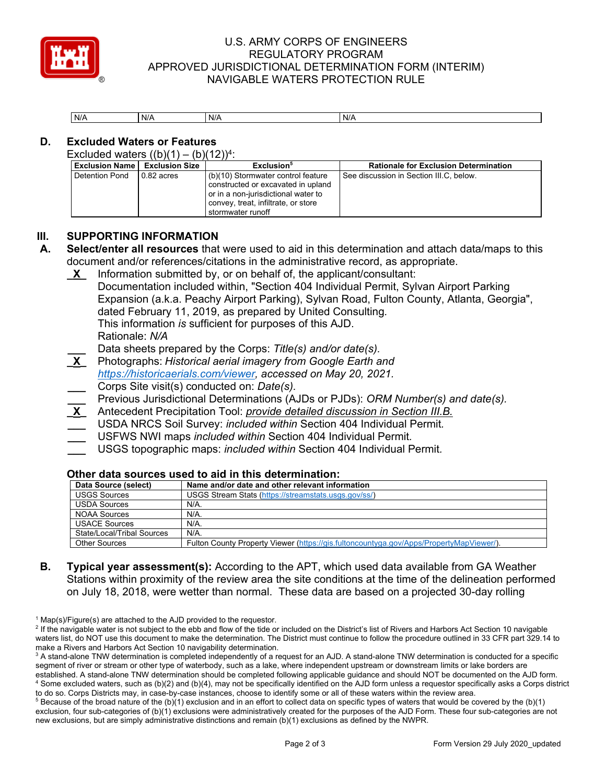

# U.S. ARMY CORPS OF ENGINEERS REGULATORY PROGRAM APPROVED JURISDICTIONAL DETERMINATION FORM (INTERIM) NAVIGABLE WATERS PROTECTION RULE

| N/A | N/A | N/A | N/A |
|-----|-----|-----|-----|

# **D. Excluded Waters or Features**

Excluded waters  $((b)(1) - (b)(12))^4$ :

| <b>Exclusion Name   Exclusion Size</b> |              | Exclusion <sup>5</sup>                                                                                                                                                        | <b>Rationale for Exclusion Determination</b> |
|----------------------------------------|--------------|-------------------------------------------------------------------------------------------------------------------------------------------------------------------------------|----------------------------------------------|
| <b>Detention Pond</b>                  | $0.82$ acres | (b)(10) Stormwater control feature<br>constructed or excavated in upland<br>or in a non-jurisdictional water to<br>I convey, treat, infiltrate, or store<br>stormwater runoff | See discussion in Section III.C, below.      |

## **III. SUPPORTING INFORMATION**

**A. Select/enter all resources** that were used to aid in this determination and attach data/maps to this document and/or references/citations in the administrative record, as appropriate.

Information submitted by, or on behalf of, the applicant/consultant: **\_X\_** Information submitted by, or on behalf of, the applicant/consultant: Documentation included within, "Section 404 Individual Permit, Sylvan Airport Parking

- **\_X\_** Photographs: *Historical aerial imagery from Google Earth and [https://historicaerials.com/viewer,](https://historicaerials.com/viewer) accessed on May 20, 2021.*  **\_\_\_** Corps Site visit(s) conducted on: *Date(s).*
- **\_\_\_** Previous Jurisdictional Determinations (AJDs or PJDs): *ORM Number(s) and date(s).*
- **\_X\_** Antecedent Precipitation Tool: *provide detailed discussion in Section III.B.*
- **\_\_\_** USDA NRCS Soil Survey: *included within* Section 404 Individual Permit*.*
- **\_\_\_** USFWS NWI maps *included within* Section 404 Individual Permit*.*
- **\_\_\_** USGS topographic maps: *included within* Section 404 Individual Permit*.*

#### **Other data sources used to aid in this determination:**

| Documentation included within, "Section 404 Individual Permit, Sylvan Airport Parking<br>Expansion (a.k.a. Peachy Airport Parking), Sylvan Road, Fulton County, Atlanta, Georgia",<br>dated February 11, 2019, as prepared by United Consulting.<br>This information is sufficient for purposes of this AJD.<br>Rationale: N/A<br>Data sheets prepared by the Corps: Title(s) and/or date(s).<br>$\mathbf{X}$<br>Photographs: Historical aerial imagery from Google Earth and<br>https://historicaerials.com/viewer, accessed on May 20, 2021.<br>Corps Site visit(s) conducted on: Date(s).<br>Previous Jurisdictional Determinations (AJDs or PJDs): ORM Number(s) and date(s).<br>$\underline{x}$<br>Antecedent Precipitation Tool: <i>provide detailed discussion in Section III.B.</i><br>USDA NRCS Soil Survey: included within Section 404 Individual Permit.<br>USFWS NWI maps included within Section 404 Individual Permit.<br>USGS topographic maps: included within Section 404 Individual Permit.<br>Other data sources used to aid in this determination:<br>Name and/or date and other relevant information<br>Data Source (select)<br><b>USGS Sources</b><br>USGS Stream Stats (https://streamstats.usgs.gov/ss/)<br><b>USDA Sources</b><br>$N/A$ .<br><b>NOAA Sources</b><br>N/A<br><b>USACE Sources</b><br>$N/A$ .<br><b>State/Local/Tribal Sources</b><br>N/A<br>Fulton County Property Viewer (https://gis.fultoncountyga.gov/Apps/PropertyMapViewer/)<br><b>Other Sources</b> |  |  |  |  |  |  |
|----------------------------------------------------------------------------------------------------------------------------------------------------------------------------------------------------------------------------------------------------------------------------------------------------------------------------------------------------------------------------------------------------------------------------------------------------------------------------------------------------------------------------------------------------------------------------------------------------------------------------------------------------------------------------------------------------------------------------------------------------------------------------------------------------------------------------------------------------------------------------------------------------------------------------------------------------------------------------------------------------------------------------------------------------------------------------------------------------------------------------------------------------------------------------------------------------------------------------------------------------------------------------------------------------------------------------------------------------------------------------------------------------------------------------------------------------------------------------------------------------|--|--|--|--|--|--|
|                                                                                                                                                                                                                                                                                                                                                                                                                                                                                                                                                                                                                                                                                                                                                                                                                                                                                                                                                                                                                                                                                                                                                                                                                                                                                                                                                                                                                                                                                                    |  |  |  |  |  |  |
|                                                                                                                                                                                                                                                                                                                                                                                                                                                                                                                                                                                                                                                                                                                                                                                                                                                                                                                                                                                                                                                                                                                                                                                                                                                                                                                                                                                                                                                                                                    |  |  |  |  |  |  |
|                                                                                                                                                                                                                                                                                                                                                                                                                                                                                                                                                                                                                                                                                                                                                                                                                                                                                                                                                                                                                                                                                                                                                                                                                                                                                                                                                                                                                                                                                                    |  |  |  |  |  |  |
|                                                                                                                                                                                                                                                                                                                                                                                                                                                                                                                                                                                                                                                                                                                                                                                                                                                                                                                                                                                                                                                                                                                                                                                                                                                                                                                                                                                                                                                                                                    |  |  |  |  |  |  |
|                                                                                                                                                                                                                                                                                                                                                                                                                                                                                                                                                                                                                                                                                                                                                                                                                                                                                                                                                                                                                                                                                                                                                                                                                                                                                                                                                                                                                                                                                                    |  |  |  |  |  |  |
|                                                                                                                                                                                                                                                                                                                                                                                                                                                                                                                                                                                                                                                                                                                                                                                                                                                                                                                                                                                                                                                                                                                                                                                                                                                                                                                                                                                                                                                                                                    |  |  |  |  |  |  |
|                                                                                                                                                                                                                                                                                                                                                                                                                                                                                                                                                                                                                                                                                                                                                                                                                                                                                                                                                                                                                                                                                                                                                                                                                                                                                                                                                                                                                                                                                                    |  |  |  |  |  |  |
|                                                                                                                                                                                                                                                                                                                                                                                                                                                                                                                                                                                                                                                                                                                                                                                                                                                                                                                                                                                                                                                                                                                                                                                                                                                                                                                                                                                                                                                                                                    |  |  |  |  |  |  |
|                                                                                                                                                                                                                                                                                                                                                                                                                                                                                                                                                                                                                                                                                                                                                                                                                                                                                                                                                                                                                                                                                                                                                                                                                                                                                                                                                                                                                                                                                                    |  |  |  |  |  |  |
|                                                                                                                                                                                                                                                                                                                                                                                                                                                                                                                                                                                                                                                                                                                                                                                                                                                                                                                                                                                                                                                                                                                                                                                                                                                                                                                                                                                                                                                                                                    |  |  |  |  |  |  |
|                                                                                                                                                                                                                                                                                                                                                                                                                                                                                                                                                                                                                                                                                                                                                                                                                                                                                                                                                                                                                                                                                                                                                                                                                                                                                                                                                                                                                                                                                                    |  |  |  |  |  |  |
|                                                                                                                                                                                                                                                                                                                                                                                                                                                                                                                                                                                                                                                                                                                                                                                                                                                                                                                                                                                                                                                                                                                                                                                                                                                                                                                                                                                                                                                                                                    |  |  |  |  |  |  |
|                                                                                                                                                                                                                                                                                                                                                                                                                                                                                                                                                                                                                                                                                                                                                                                                                                                                                                                                                                                                                                                                                                                                                                                                                                                                                                                                                                                                                                                                                                    |  |  |  |  |  |  |
|                                                                                                                                                                                                                                                                                                                                                                                                                                                                                                                                                                                                                                                                                                                                                                                                                                                                                                                                                                                                                                                                                                                                                                                                                                                                                                                                                                                                                                                                                                    |  |  |  |  |  |  |
|                                                                                                                                                                                                                                                                                                                                                                                                                                                                                                                                                                                                                                                                                                                                                                                                                                                                                                                                                                                                                                                                                                                                                                                                                                                                                                                                                                                                                                                                                                    |  |  |  |  |  |  |
|                                                                                                                                                                                                                                                                                                                                                                                                                                                                                                                                                                                                                                                                                                                                                                                                                                                                                                                                                                                                                                                                                                                                                                                                                                                                                                                                                                                                                                                                                                    |  |  |  |  |  |  |
|                                                                                                                                                                                                                                                                                                                                                                                                                                                                                                                                                                                                                                                                                                                                                                                                                                                                                                                                                                                                                                                                                                                                                                                                                                                                                                                                                                                                                                                                                                    |  |  |  |  |  |  |
|                                                                                                                                                                                                                                                                                                                                                                                                                                                                                                                                                                                                                                                                                                                                                                                                                                                                                                                                                                                                                                                                                                                                                                                                                                                                                                                                                                                                                                                                                                    |  |  |  |  |  |  |
|                                                                                                                                                                                                                                                                                                                                                                                                                                                                                                                                                                                                                                                                                                                                                                                                                                                                                                                                                                                                                                                                                                                                                                                                                                                                                                                                                                                                                                                                                                    |  |  |  |  |  |  |
|                                                                                                                                                                                                                                                                                                                                                                                                                                                                                                                                                                                                                                                                                                                                                                                                                                                                                                                                                                                                                                                                                                                                                                                                                                                                                                                                                                                                                                                                                                    |  |  |  |  |  |  |
|                                                                                                                                                                                                                                                                                                                                                                                                                                                                                                                                                                                                                                                                                                                                                                                                                                                                                                                                                                                                                                                                                                                                                                                                                                                                                                                                                                                                                                                                                                    |  |  |  |  |  |  |
|                                                                                                                                                                                                                                                                                                                                                                                                                                                                                                                                                                                                                                                                                                                                                                                                                                                                                                                                                                                                                                                                                                                                                                                                                                                                                                                                                                                                                                                                                                    |  |  |  |  |  |  |
|                                                                                                                                                                                                                                                                                                                                                                                                                                                                                                                                                                                                                                                                                                                                                                                                                                                                                                                                                                                                                                                                                                                                                                                                                                                                                                                                                                                                                                                                                                    |  |  |  |  |  |  |
|                                                                                                                                                                                                                                                                                                                                                                                                                                                                                                                                                                                                                                                                                                                                                                                                                                                                                                                                                                                                                                                                                                                                                                                                                                                                                                                                                                                                                                                                                                    |  |  |  |  |  |  |
|                                                                                                                                                                                                                                                                                                                                                                                                                                                                                                                                                                                                                                                                                                                                                                                                                                                                                                                                                                                                                                                                                                                                                                                                                                                                                                                                                                                                                                                                                                    |  |  |  |  |  |  |
| <b>Typical year assessment(s):</b> According to the APT, which used data available from GA Weather                                                                                                                                                                                                                                                                                                                                                                                                                                                                                                                                                                                                                                                                                                                                                                                                                                                                                                                                                                                                                                                                                                                                                                                                                                                                                                                                                                                                 |  |  |  |  |  |  |
| Stations within proximity of the review area the site conditions at the time of the delineation performed                                                                                                                                                                                                                                                                                                                                                                                                                                                                                                                                                                                                                                                                                                                                                                                                                                                                                                                                                                                                                                                                                                                                                                                                                                                                                                                                                                                          |  |  |  |  |  |  |
| on July 18, 2018, were wetter than normal. These data are based on a projected 30-day rolling                                                                                                                                                                                                                                                                                                                                                                                                                                                                                                                                                                                                                                                                                                                                                                                                                                                                                                                                                                                                                                                                                                                                                                                                                                                                                                                                                                                                      |  |  |  |  |  |  |
|                                                                                                                                                                                                                                                                                                                                                                                                                                                                                                                                                                                                                                                                                                                                                                                                                                                                                                                                                                                                                                                                                                                                                                                                                                                                                                                                                                                                                                                                                                    |  |  |  |  |  |  |

**B. Typical year assessment(s):** According to the APT, which used data available from GA Weather Stations within proximity of the review area the site conditions at the time of the delineation performed on July 18, 2018, were wetter than normal. These data are based on a projected 30-day rolling

 $1$  Map(s)/Figure(s) are attached to the AJD provided to the requestor.

<sup>&</sup>lt;sup>2</sup> If the navigable water is not subject to the ebb and flow of the tide or included on the District's list of Rivers and Harbors Act Section 10 navigable waters list, do NOT use this document to make the determination. The District must continue to follow the procedure outlined in 33 CFR part 329.14 to make a Rivers and Harbors Act Section 10 navigability determination.

 $^3$  A stand-alone TNW determination is completed independently of a request for an AJD. A stand-alone TNW determination is conducted for a specific segment of river or stream or other type of waterbody, such as a lake, where independent upstream or downstream limits or lake borders are established. A stand-alone TNW determination should be completed following applicable guidance and should NOT be documented on the AJD form. 4 Some excluded waters, such as (b)(2) and (b)(4), may not be specifically identified on the AJD form unless a requestor specifically asks a Corps district to do so. Corps Districts may, in case-by-case instances, choose to identify some or all of these waters within the review area.

 $^5$  Because of the broad nature of the (b)(1) exclusion and in an effort to collect data on specific types of waters that would be covered by the (b)(1) exclusion, four sub-categories of (b)(1) exclusions were administratively created for the purposes of the AJD Form. These four sub-categories are not new exclusions, but are simply administrative distinctions and remain (b)(1) exclusions as defined by the NWPR.